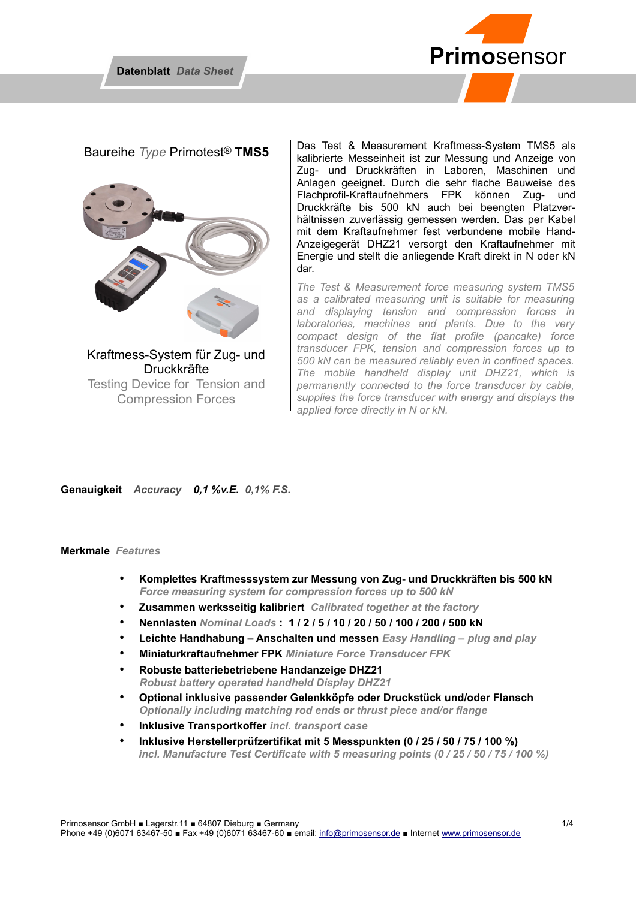



Das Test & Measurement Kraftmess-System TMS5 als kalibrierte Messeinheit ist zur Messung und Anzeige von Zug- und Druckkräften in Laboren, Maschinen und Anlagen geeignet. Durch die sehr flache Bauweise des Flachprofil-Kraftaufnehmers FPK können Zug- und Druckkräfte bis 500 kN auch bei beengten Platzverhältnissen zuverlässig gemessen werden. Das per Kabel mit dem Kraftaufnehmer fest verbundene mobile Hand-Anzeigegerät DHZ21 versorgt den Kraftaufnehmer mit Energie und stellt die anliegende Kraft direkt in N oder kN dar.

*The Test & Measurement force measuring system TMS5 as a calibrated measuring unit is suitable for measuring and displaying tension and compression forces in laboratories, machines and plants. Due to the very compact design of the flat profile (pancake) force transducer FPK, tension and compression forces up to 500 kN can be measured reliably even in confined spaces. The mobile handheld display unit DHZ21, which is permanently connected to the force transducer by cable, supplies the force transducer with energy and displays the applied force directly in N or kN.* 

**Genauigkeit** *Accuracy 0,1 %v.E. 0,1% F.S.* 

#### **Merkmale** *Features*

- **Komplettes Kraftmesssystem zur Messung von Zug- und Druckkräften bis 500 kN**  *Force measuring system for compression forces up to 500 kN*
- **Zusammen werksseitig kalibriert** *Calibrated together at the factory*
- **Nennlasten** *Nominal Loads* **: 1 / 2 / 5 / 10 / 20 / 50 / 100 / 200 / 500 kN**
- **Leichte Handhabung Anschalten und messen** *Easy Handling plug and play*
- **Miniaturkraftaufnehmer FPK** *Miniature Force Transducer FPK*
- **Robuste batteriebetriebene Handanzeige DHZ21**  *Robust battery operated handheld Display DHZ21*
- **Optional inklusive passender Gelenkköpfe oder Druckstück und/oder Flansch** *Optionally including matching rod ends or thrust piece and/or flange*
- **Inklusive Transportkoffer** *incl. transport case*
- **Inklusive Herstellerprüfzertifikat mit 5 Messpunkten (0 / 25 / 50 / 75 / 100 %)** *incl. Manufacture Test Certificate with 5 measuring points (0 / 25 / 50 / 75 / 100 %)*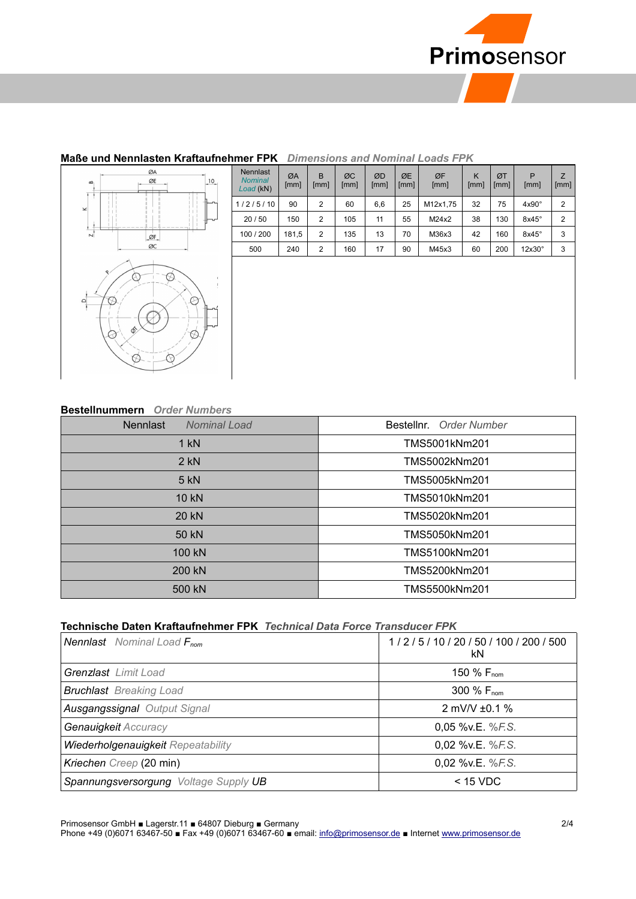

### **Maße und Nennlasten Kraftaufnehmer FPK** *Dimensions and Nominal Loads FPK*



| illier FPN<br><i><u>Dimensions and Nominal Loads FPN</u></i> |            |                |            |            |            |            |           |            |               |           |
|--------------------------------------------------------------|------------|----------------|------------|------------|------------|------------|-----------|------------|---------------|-----------|
| <b>Nennlast</b><br><b>Nominal</b><br>Load (kN)               | ØA<br>[mm] | B<br>[mm]      | ØC<br>[mm] | ØD<br>[mm] | ØE<br>[mm] | ØF<br>[mm] | K<br>[mm] | ØT<br>[mm] | P<br>[mm]     | Z<br>[mm] |
| 1/2/5/10                                                     | 90         | 2              | 60         | 6,6        | 25         | M12x1,75   | 32        | 75         | $4x90^\circ$  | 2         |
| 20/50                                                        | 150        | $\overline{2}$ | 105        | 11         | 55         | M24x2      | 38        | 130        | $8x45^\circ$  | 2         |
| 100 / 200                                                    | 181,5      | 2              | 135        | 13         | 70         | M36x3      | 42        | 160        | $8x45^\circ$  | 3         |
| 500                                                          | 240        | $\overline{2}$ | 160        | 17         | 90         | M45x3      | 60        | 200        | $12x30^\circ$ | 3         |
|                                                              |            |                |            |            |            |            |           |            |               |           |
|                                                              |            |                |            |            |            |            |           |            |               |           |

#### **Bestellnummern** *Order Numbers*

| рсэклпанны сын самы таллоого           |                         |  |  |
|----------------------------------------|-------------------------|--|--|
| <b>Nennlast</b><br><b>Nominal Load</b> | Bestellnr. Order Number |  |  |
| $1$ kN                                 | TMS5001kNm201           |  |  |
| $2$ kN                                 | TMS5002kNm201           |  |  |
| $5$ kN                                 | TMS5005kNm201           |  |  |
| 10 kN                                  | TMS5010kNm201           |  |  |
| 20 kN                                  | TMS5020kNm201           |  |  |
| 50 kN                                  | TMS5050kNm201           |  |  |
| 100 kN                                 | TMS5100kNm201           |  |  |
| 200 kN                                 | TMS5200kNm201           |  |  |
| 500 kN                                 | TMS5500kNm201           |  |  |

### **Technische Daten Kraftaufnehmer FPK** *Technical Data Force Transducer FPK*

| <b>Nennlast</b> Nominal Load F <sub>nom</sub> | 1/2/5/10/20/50/100/200/500<br>kN |  |  |
|-----------------------------------------------|----------------------------------|--|--|
| <b>Grenzlast</b> Limit Load                   | 150 % F <sub>nom</sub>           |  |  |
| <b>Bruchlast</b> Breaking Load                | 300 % F <sub>nom</sub>           |  |  |
| <b>Ausgangssignal Output Signal</b>           | 2 mV/V $\pm$ 0.1 %               |  |  |
| Genauigkeit Accuracy                          | 0.05 % v.E. % F.S.               |  |  |
| Wiederholgenauigkeit Repeatability            | 0,02 %v.E. %F.S.                 |  |  |
| Kriechen Creep (20 min)                       | 0,02 %v.E. %F.S.                 |  |  |
| Spannungsversorgung Voltage Supply UB         | $<$ 15 VDC                       |  |  |

Primosensor GmbH ■ Lagerstr.11 ■ 64807 Dieburg ■ Germany 2/4

Phone +49 (0)6071 63467-50 ■ Fax +49 (0)6071 63467-60 ■ email: [info@primosensor.de](mailto:info@primosensor.de) ■ Internet [www.primosensor.de](http://www.primosensor.de/)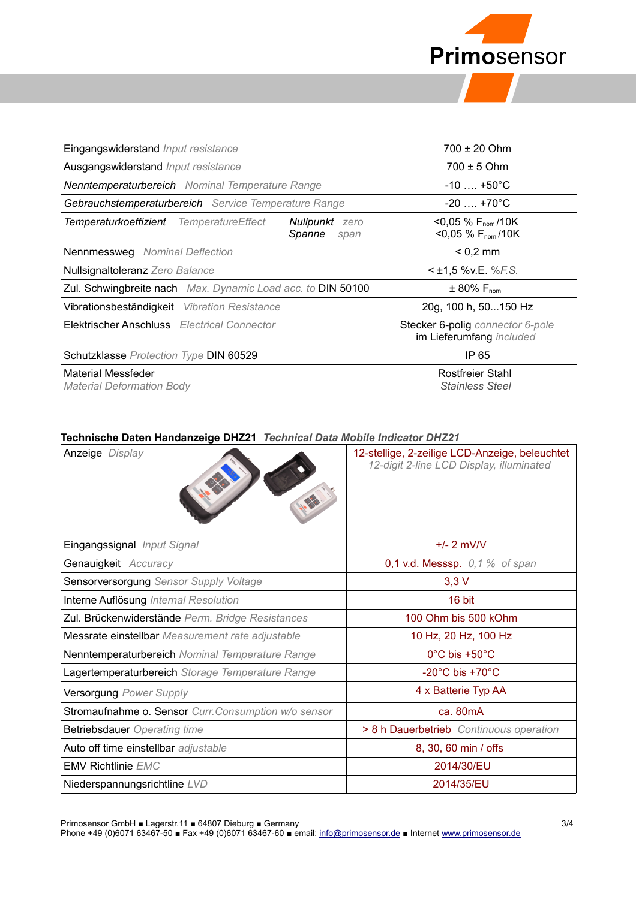

| Eingangswiderstand Input resistance                                                | $700 \pm 20$ Ohm                                                     |  |  |
|------------------------------------------------------------------------------------|----------------------------------------------------------------------|--|--|
| Ausgangswiderstand Input resistance                                                | $700 \pm 5$ Ohm                                                      |  |  |
| <b>Nenntemperaturbereich</b> Nominal Temperature Range                             | $-10$ +50 $^{\circ}$ C                                               |  |  |
| Gebrauchstemperaturbereich Service Temperature Range                               | $-20$ +70°C                                                          |  |  |
| Temperaturkoeffizient TemperatureEffect<br><b>Nullpunkt</b> zero<br>Spanne<br>span | $<$ 0,05 % F <sub>nom</sub> /10K<br>$<$ 0,05 % F <sub>nom</sub> /10K |  |  |
| Nennmessweg Nominal Deflection                                                     | $< 0.2$ mm                                                           |  |  |
| Nullsignaltoleranz Zero Balance                                                    | $<$ ±1,5 %v.E. %F.S.                                                 |  |  |
| Zul. Schwingbreite nach Max. Dynamic Load acc. to DIN 50100                        | $\pm$ 80% $\mathsf{F}_{\mathsf{nom}}$                                |  |  |
| Vibrationsbeständigkeit Vibration Resistance                                       | 20g, 100 h, 50150 Hz                                                 |  |  |
| Elektrischer Anschluss Electrical Connector                                        | Stecker 6-polig connector 6-pole<br>im Lieferumfang included         |  |  |
| Schutzklasse Protection Type DIN 60529                                             | IP 65                                                                |  |  |
| Material Messfeder<br><b>Material Deformation Body</b>                             | Rostfreier Stahl<br><b>Stainless Steel</b>                           |  |  |

#### **Technische Daten Handanzeige DHZ21** *Technical Data Mobile Indicator DHZ21*

| <b>Anzeige</b> Display                               | 12-stellige, 2-zeilige LCD-Anzeige, beleuchtet<br>12-digit 2-line LCD Display, illuminated |
|------------------------------------------------------|--------------------------------------------------------------------------------------------|
| Eingangssignal Input Signal                          | $+/- 2$ mV/V                                                                               |
| Genauigkeit Accuracy                                 | $0,1$ v.d. Messsp. $0,1$ % of span                                                         |
| Sensorversorgung Sensor Supply Voltage               | $3,3$ V                                                                                    |
| Interne Auflösung Internal Resolution                | 16 bit                                                                                     |
| Zul. Brückenwiderstände Perm. Bridge Resistances     | 100 Ohm bis 500 kOhm                                                                       |
| Messrate einstellbar Measurement rate adjustable     | 10 Hz, 20 Hz, 100 Hz                                                                       |
| Nenntemperaturbereich Nominal Temperature Range      | $0^{\circ}$ C bis +50 $^{\circ}$ C                                                         |
| Lagertemperaturbereich Storage Temperature Range     | -20 $^{\circ}$ C bis +70 $^{\circ}$ C                                                      |
| Versorgung Power Supply                              | 4 x Batterie Typ AA                                                                        |
| Stromaufnahme o. Sensor Curr. Consumption w/o sensor | ca. 80mA                                                                                   |
| <b>Betriebsdauer</b> Operating time                  | > 8 h Dauerbetrieb Continuous operation                                                    |
| Auto off time einstellbar adjustable                 | 8, 30, 60 min / offs                                                                       |
| <b>EMV Richtlinie EMC</b>                            | 2014/30/EU                                                                                 |
| Niederspannungsrichtline LVD                         | 2014/35/EU                                                                                 |

Primosensor GmbH ■ Lagerstr.11 ■ 64807 Dieburg ■ Germany 3/4

Phone +49 (0)6071 63467-50 ■ Fax +49 (0)6071 63467-60 ■ email: [info@primosensor.de](mailto:info@primosensor.de) ■ Internet [www.primosensor.de](http://www.primosensor.de/)